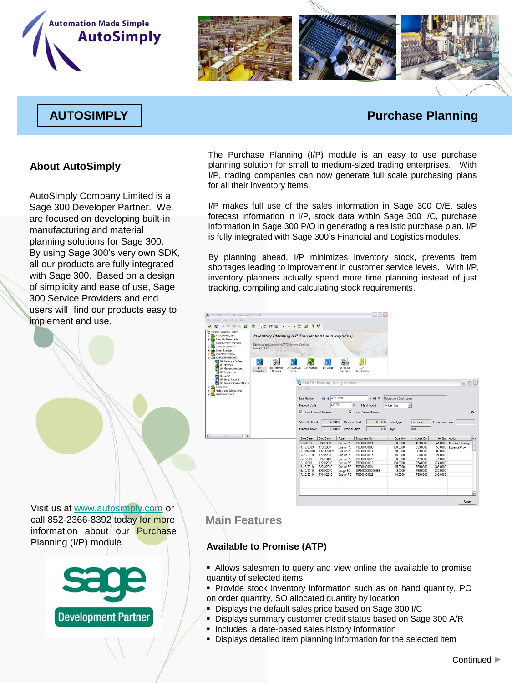



# **AUTOSIMPLY Purchase Planning**

### **About AutoSimply**

AutoSimply Company Limited is a Sage 300 Developer Partner. We are focused on developing built-in manufacturing and material planning solutions for Sage 300. By using Sage 300's very own SDK, all our products are fully integrated with Sage 300. Based on a design of simplicity and ease of use, Sage 300 Service Providers and end users will find our products easy to implement and use.

The Purchase Planning (I/P) module is an easy to use purchase planning solution for small to medium-sized trading enterprises. With I/P, trading companies can now generate full scale purchasing plans for all their inventory items.

I/P makes full use of the sales information in Sage 300 O/E, sales forecast information in I/P, stock data within Sage 300 I/C, purchase information in Sage 300 P/O in generating a realistic purchase plan. I/P is fully integrated with Sage 300's Financial and Logistics modules.

By planning ahead, I/P minimizes inventory stock, prevents item shortages leading to improvement in customer service levels. With I/P, inventory planners actually spend more time planning instead of just tracking, compiling and calculating stock requirements.



Visit us at [www.autosimply.com](http://www.autosimply.com/) or call 852-2366-8392 today for more information about our **Purchase** Planning (I/P) module. **Available to Promise (ATP)** 



## **Main Features**

- Allows salesmen to query and view online the available to promise quantity of selected items
- Provide stock inventory information such as on hand quantity, PO on order quantity, SO allocated quantity by location
- Displays the default sales price based on Sage 300 I/C
- Displays summary customer credit status based on Sage 300 A/R
- **Includes a date-based sales history information**
- Displays detailed item planning information for the selected item